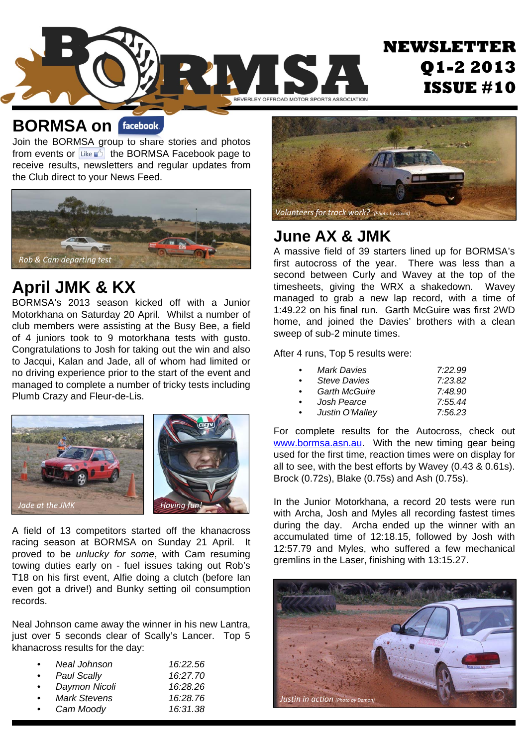

#### **BORMSA on**

Join the BORMSA group to share stories and photos from events or  $\lim_{k \to \infty}$  the BORMSA Facebook page to receive results, newsletters and regular updates from the Club direct to your News Feed.



### **April JMK & KX**

BORMSA's 2013 season kicked off with a Junior Motorkhana on Saturday 20 April. Whilst a number of club members were assisting at the Busy Bee, a field of 4 juniors took to 9 motorkhana tests with gusto. Congratulations to Josh for taking out the win and also to Jacqui, Kalan and Jade, all of whom had limited or no driving experience prior to the start of the event and managed to complete a number of tricky tests including Plumb Crazy and Fleur-de-Lis.



A field of 13 competitors started off the khanacross racing season at BORMSA on Sunday 21 April. It proved to be *unlucky for some*, with Cam resuming towing duties early on - fuel issues taking out Rob's T18 on his first event, Alfie doing a clutch (before Ian even got a drive!) and Bunky setting oil consumption records.

Neal Johnson came away the winner in his new Lantra, just over 5 seconds clear of Scally's Lancer. Top 5 khanacross results for the day:

| Neal Johnson       | 16:22.56 |
|--------------------|----------|
| <b>Paul Scally</b> | 16:27.70 |
| Daymon Nicoli      | 16:28.26 |
| Mark Stevens       | 16:28.76 |
| Cam Moody          | 16:31.38 |
|                    |          |



#### **June AX & JMK**

A massive field of 39 starters lined up for BORMSA's first autocross of the year. There was less than a second between Curly and Wavey at the top of the timesheets, giving the WRX a shakedown. Wavey managed to grab a new lap record, with a time of 1:49.22 on his final run. Garth McGuire was first 2WD home, and joined the Davies' brothers with a clean sweep of sub-2 minute times.

After 4 runs, Top 5 results were:

|           | Mark Davies          | 7:22.99 |
|-----------|----------------------|---------|
|           | <b>Steve Davies</b>  | 7:23.82 |
| $\bullet$ | <b>Garth McGuire</b> | 7:48.90 |
|           | Josh Pearce          | 7:55.44 |
| $\bullet$ | Justin O'Malley      | 7:56.23 |

For complete results for the Autocross, check out www.bormsa.asn.au. With the new timing gear being used for the first time, reaction times were on display for all to see, with the best efforts by Wavey (0.43 & 0.61s). Brock (0.72s), Blake (0.75s) and Ash (0.75s).

In the Junior Motorkhana, a record 20 tests were run with Archa, Josh and Myles all recording fastest times during the day. Archa ended up the winner with an accumulated time of 12:18.15, followed by Josh with 12:57.79 and Myles, who suffered a few mechanical gremlins in the Laser, finishing with 13:15.27.